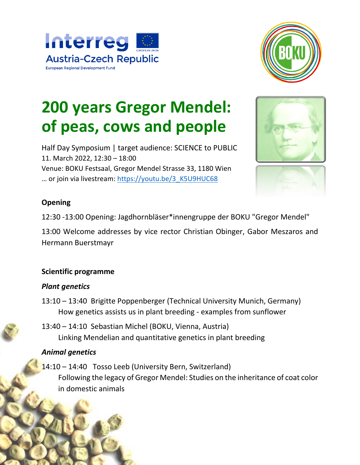



# **200 years Gregor Mendel: of peas, cows and people**

Half Day Symposium | target audience: SCIENCE to PUBLIC 11. March 2022, 12:30 – 18:00 Venue: BOKU Festsaal, Gregor Mendel Strasse 33, 1180 Wien ... or join via livestream: https://youtu.be/3\_K5U9HUC68





12:30 -13:00 Opening: Jagdhornbläser\*innengruppe der BOKU "Gregor Mendel"

13:00 Welcome addresses by vice rector Christian Obinger, Gabor Meszaros and Hermann Buerstmayr

#### **Scientific programme**

#### *Plant genetics*

- 13:10 13:40 Brigitte Poppenberger (Technical University Munich, Germany) How genetics assists us in plant breeding - examples from sunflower
- 13:40 14:10 Sebastian Michel (BOKU, Vienna, Austria) Linking Mendelian and quantitative genetics in plant breeding

## *Animal genetics*

14:10 – 14:40 Tosso Leeb (University Bern, Switzerland) Following the legacy of Gregor Mendel: Studies on the inheritance of coat color in domestic animals